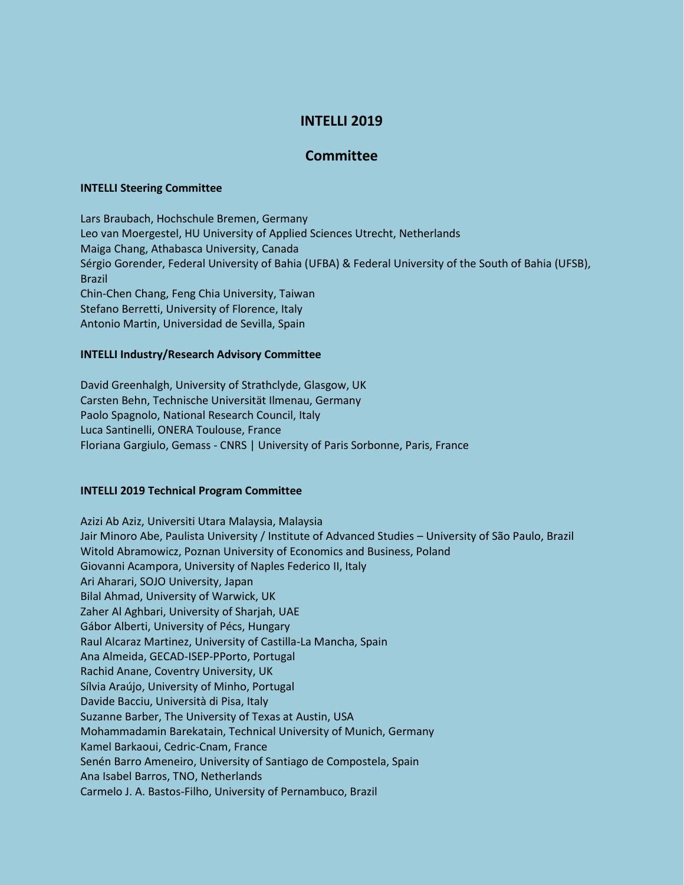# **INTELLI 2019**

## **Committee**

### **INTELLI Steering Committee**

Lars Braubach, Hochschule Bremen, Germany Leo van Moergestel, HU University of Applied Sciences Utrecht, Netherlands Maiga Chang, Athabasca University, Canada Sérgio Gorender, Federal University of Bahia (UFBA) & Federal University of the South of Bahia (UFSB), Brazil Chin-Chen Chang, Feng Chia University, Taiwan Stefano Berretti, University of Florence, Italy Antonio Martin, Universidad de Sevilla, Spain

#### **INTELLI Industry/Research Advisory Committee**

David Greenhalgh, University of Strathclyde, Glasgow, UK Carsten Behn, Technische Universität Ilmenau, Germany Paolo Spagnolo, National Research Council, Italy Luca Santinelli, ONERA Toulouse, France Floriana Gargiulo, Gemass - CNRS | University of Paris Sorbonne, Paris, France

### **INTELLI 2019 Technical Program Committee**

Azizi Ab Aziz, Universiti Utara Malaysia, Malaysia Jair Minoro Abe, Paulista University / Institute of Advanced Studies – University of São Paulo, Brazil Witold Abramowicz, Poznan University of Economics and Business, Poland Giovanni Acampora, University of Naples Federico II, Italy Ari Aharari, SOJO University, Japan Bilal Ahmad, University of Warwick, UK Zaher Al Aghbari, University of Sharjah, UAE Gábor Alberti, University of Pécs, Hungary Raul Alcaraz Martinez, University of Castilla-La Mancha, Spain Ana Almeida, GECAD-ISEP-PPorto, Portugal Rachid Anane, Coventry University, UK Sílvia Araújo, University of Minho, Portugal Davide Bacciu, Università di Pisa, Italy Suzanne Barber, The University of Texas at Austin, USA Mohammadamin Barekatain, Technical University of Munich, Germany Kamel Barkaoui, Cedric-Cnam, France Senén Barro Ameneiro, University of Santiago de Compostela, Spain Ana Isabel Barros, TNO, Netherlands Carmelo J. A. Bastos-Filho, University of Pernambuco, Brazil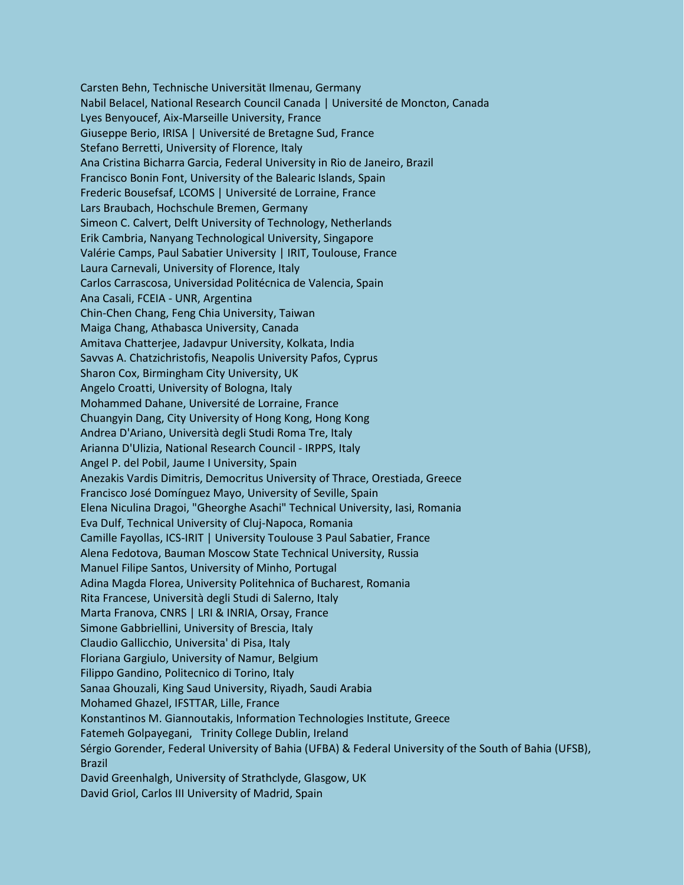Carsten Behn, Technische Universität Ilmenau, Germany Nabil Belacel, National Research Council Canada | Université de Moncton, Canada Lyes Benyoucef, Aix-Marseille University, France Giuseppe Berio, IRISA | Université de Bretagne Sud, France Stefano Berretti, University of Florence, Italy Ana Cristina Bicharra Garcia, Federal University in Rio de Janeiro, Brazil Francisco Bonin Font, University of the Balearic Islands, Spain Frederic Bousefsaf, LCOMS | Université de Lorraine, France Lars Braubach, Hochschule Bremen, Germany Simeon C. Calvert, Delft University of Technology, Netherlands Erik Cambria, Nanyang Technological University, Singapore Valérie Camps, Paul Sabatier University | IRIT, Toulouse, France Laura Carnevali, University of Florence, Italy Carlos Carrascosa, Universidad Politécnica de Valencia, Spain Ana Casali, FCEIA - UNR, Argentina Chin-Chen Chang, Feng Chia University, Taiwan Maiga Chang, Athabasca University, Canada Amitava Chatterjee, Jadavpur University, Kolkata, India Savvas A. Chatzichristofis, Neapolis University Pafos, Cyprus Sharon Cox, Birmingham City University, UK Angelo Croatti, University of Bologna, Italy Mohammed Dahane, Université de Lorraine, France Chuangyin Dang, City University of Hong Kong, Hong Kong Andrea D'Ariano, Università degli Studi Roma Tre, Italy Arianna D'Ulizia, National Research Council - IRPPS, Italy Angel P. del Pobil, Jaume I University, Spain Anezakis Vardis Dimitris, Democritus University of Thrace, Orestiada, Greece Francisco José Domínguez Mayo, University of Seville, Spain Elena Niculina Dragoi, "Gheorghe Asachi" Technical University, Iasi, Romania Eva Dulf, Technical University of Cluj-Napoca, Romania Camille Fayollas, ICS-IRIT | University Toulouse 3 Paul Sabatier, France Alena Fedotova, Bauman Moscow State Technical University, Russia Manuel Filipe Santos, University of Minho, Portugal Adina Magda Florea, University Politehnica of Bucharest, Romania Rita Francese, Università degli Studi di Salerno, Italy Marta Franova, CNRS | LRI & INRIA, Orsay, France Simone Gabbriellini, University of Brescia, Italy Claudio Gallicchio, Universita' di Pisa, Italy Floriana Gargiulo, University of Namur, Belgium Filippo Gandino, Politecnico di Torino, Italy Sanaa Ghouzali, King Saud University, Riyadh, Saudi Arabia Mohamed Ghazel, IFSTTAR, Lille, France Konstantinos M. Giannoutakis, Information Technologies Institute, Greece Fatemeh Golpayegani, Trinity College Dublin, Ireland Sérgio Gorender, Federal University of Bahia (UFBA) & Federal University of the South of Bahia (UFSB), Brazil David Greenhalgh, University of Strathclyde, Glasgow, UK David Griol, Carlos III University of Madrid, Spain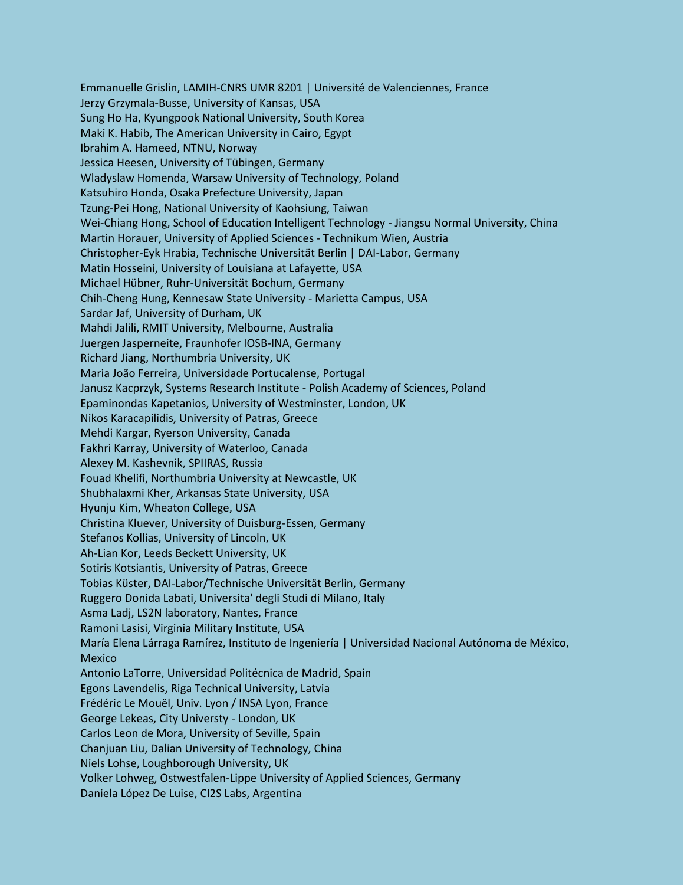Emmanuelle Grislin, LAMIH-CNRS UMR 8201 | Université de Valenciennes, France Jerzy Grzymala-Busse, University of Kansas, USA Sung Ho Ha, Kyungpook National University, South Korea Maki K. Habib, The American University in Cairo, Egypt Ibrahim A. Hameed, NTNU, Norway Jessica Heesen, University of Tübingen, Germany Wladyslaw Homenda, Warsaw University of Technology, Poland Katsuhiro Honda, Osaka Prefecture University, Japan Tzung-Pei Hong, National University of Kaohsiung, Taiwan Wei-Chiang Hong, School of Education Intelligent Technology - Jiangsu Normal University, China Martin Horauer, University of Applied Sciences - Technikum Wien, Austria Christopher-Eyk Hrabia, Technische Universität Berlin | DAI-Labor, Germany Matin Hosseini, University of Louisiana at Lafayette, USA Michael Hübner, Ruhr-Universität Bochum, Germany Chih-Cheng Hung, Kennesaw State University - Marietta Campus, USA Sardar Jaf, University of Durham, UK Mahdi Jalili, RMIT University, Melbourne, Australia Juergen Jasperneite, Fraunhofer IOSB-INA, Germany Richard Jiang, Northumbria University, UK Maria João Ferreira, Universidade Portucalense, Portugal Janusz Kacprzyk, Systems Research Institute - Polish Academy of Sciences, Poland Epaminondas Kapetanios, University of Westminster, London, UK Nikos Karacapilidis, University of Patras, Greece Mehdi Kargar, Ryerson University, Canada Fakhri Karray, University of Waterloo, Canada Alexey M. Kashevnik, SPIIRAS, Russia Fouad Khelifi, Northumbria University at Newcastle, UK Shubhalaxmi Kher, Arkansas State University, USA Hyunju Kim, Wheaton College, USA Christina Kluever, University of Duisburg-Essen, Germany Stefanos Kollias, University of Lincoln, UK Ah-Lian Kor, Leeds Beckett University, UK Sotiris Kotsiantis, University of Patras, Greece Tobias Küster, DAI-Labor/Technische Universität Berlin, Germany Ruggero Donida Labati, Universita' degli Studi di Milano, Italy Asma Ladj, LS2N laboratory, Nantes, France Ramoni Lasisi, Virginia Military Institute, USA María Elena Lárraga Ramírez, Instituto de Ingeniería | Universidad Nacional Autónoma de México, Mexico Antonio LaTorre, Universidad Politécnica de Madrid, Spain Egons Lavendelis, Riga Technical University, Latvia Frédéric Le Mouël, Univ. Lyon / INSA Lyon, France George Lekeas, City Universty - London, UK Carlos Leon de Mora, University of Seville, Spain Chanjuan Liu, Dalian University of Technology, China Niels Lohse, Loughborough University, UK Volker Lohweg, Ostwestfalen-Lippe University of Applied Sciences, Germany Daniela López De Luise, CI2S Labs, Argentina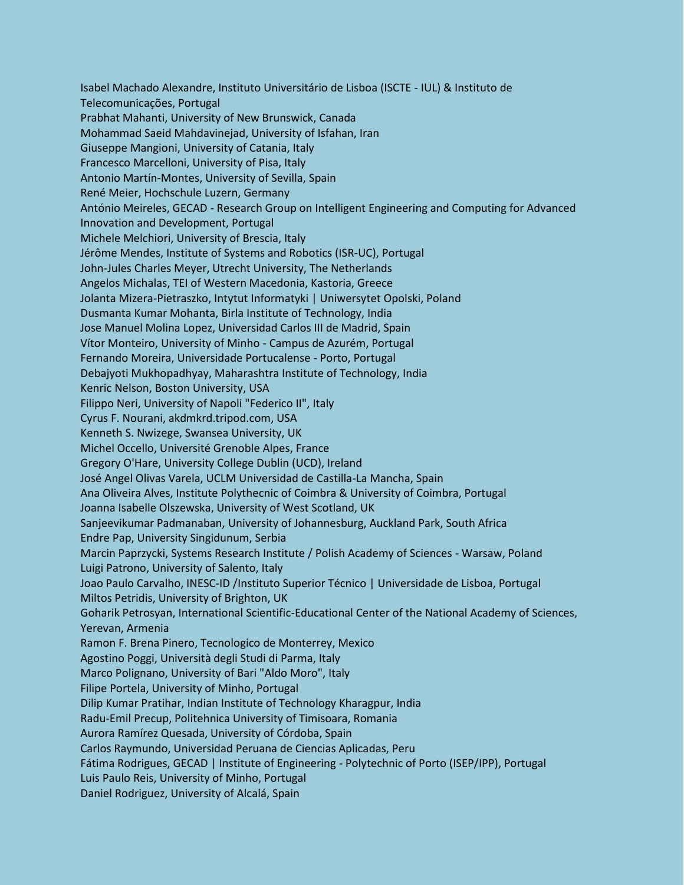Isabel Machado Alexandre, Instituto Universitário de Lisboa (ISCTE - IUL) & Instituto de Telecomunicações, Portugal Prabhat Mahanti, University of New Brunswick, Canada Mohammad Saeid Mahdavinejad, University of Isfahan, Iran Giuseppe Mangioni, University of Catania, Italy Francesco Marcelloni, University of Pisa, Italy Antonio Martín-Montes, University of Sevilla, Spain René Meier, Hochschule Luzern, Germany António Meireles, GECAD - Research Group on Intelligent Engineering and Computing for Advanced Innovation and Development, Portugal Michele Melchiori, University of Brescia, Italy Jérôme Mendes, Institute of Systems and Robotics (ISR-UC), Portugal John-Jules Charles Meyer, Utrecht University, The Netherlands Angelos Michalas, TEI of Western Macedonia, Kastoria, Greece Jolanta Mizera-Pietraszko, Intytut Informatyki | Uniwersytet Opolski, Poland Dusmanta Kumar Mohanta, Birla Institute of Technology, India Jose Manuel Molina Lopez, Universidad Carlos III de Madrid, Spain Vítor Monteiro, University of Minho - Campus de Azurém, Portugal Fernando Moreira, Universidade Portucalense - Porto, Portugal Debajyoti Mukhopadhyay, Maharashtra Institute of Technology, India Kenric Nelson, Boston University, USA Filippo Neri, University of Napoli "Federico II", Italy Cyrus F. Nourani, akdmkrd.tripod.com, USA Kenneth S. Nwizege, Swansea University, UK Michel Occello, Université Grenoble Alpes, France Gregory O'Hare, University College Dublin (UCD), Ireland José Angel Olivas Varela, UCLM Universidad de Castilla-La Mancha, Spain Ana Oliveira Alves, Institute Polythecnic of Coimbra & University of Coimbra, Portugal Joanna Isabelle Olszewska, University of West Scotland, UK Sanjeevikumar Padmanaban, University of Johannesburg, Auckland Park, South Africa Endre Pap, University Singidunum, Serbia Marcin Paprzycki, Systems Research Institute / Polish Academy of Sciences - Warsaw, Poland Luigi Patrono, University of Salento, Italy Joao Paulo Carvalho, INESC-ID /Instituto Superior Técnico | Universidade de Lisboa, Portugal Miltos Petridis, University of Brighton, UK Goharik Petrosyan, International Scientific-Educational Center of the National Academy of Sciences, Yerevan, Armenia Ramon F. Brena Pinero, Tecnologico de Monterrey, Mexico Agostino Poggi, Università degli Studi di Parma, Italy Marco Polignano, University of Bari "Aldo Moro", Italy Filipe Portela, University of Minho, Portugal Dilip Kumar Pratihar, Indian Institute of Technology Kharagpur, India Radu-Emil Precup, Politehnica University of Timisoara, Romania Aurora Ramírez Quesada, University of Córdoba, Spain Carlos Raymundo, Universidad Peruana de Ciencias Aplicadas, Peru Fátima Rodrigues, GECAD | Institute of Engineering - Polytechnic of Porto (ISEP/IPP), Portugal Luis Paulo Reis, University of Minho, Portugal Daniel Rodriguez, University of Alcalá, Spain